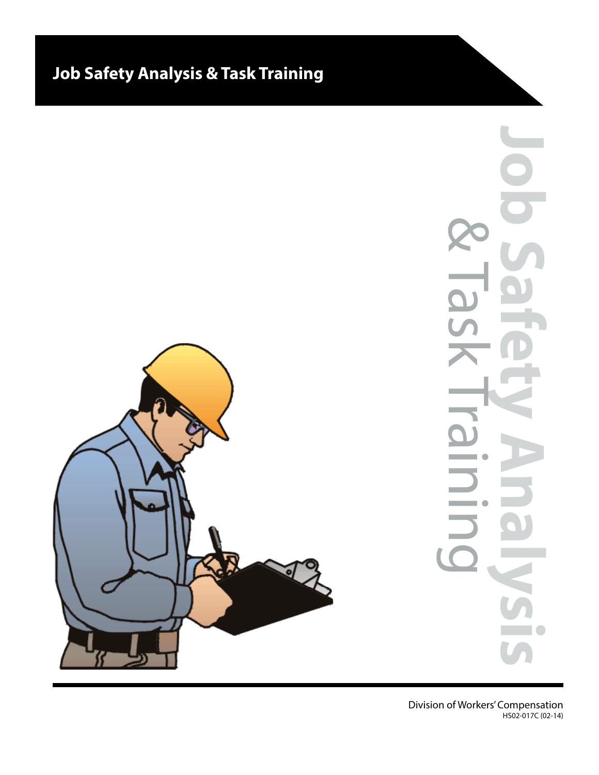# **Job Safety Analysis & Task Training**

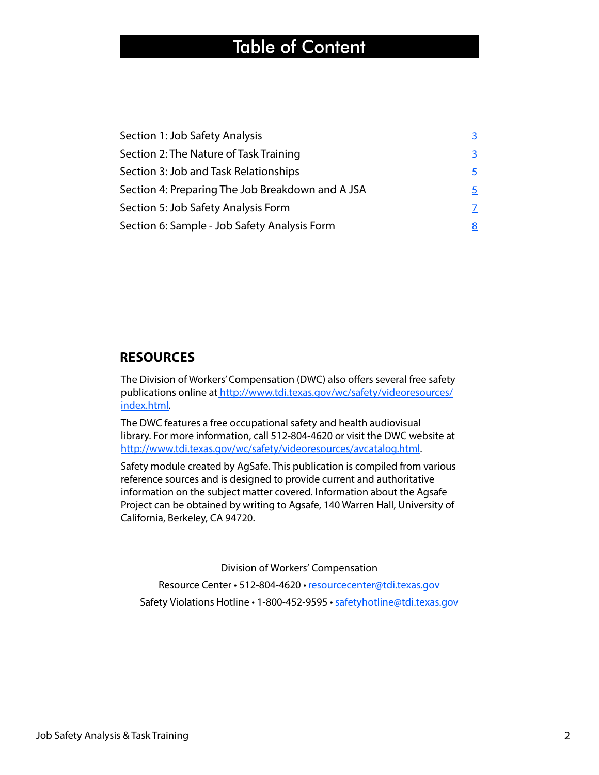## Table of Content

| Section 1: Job Safety Analysis                   |    |
|--------------------------------------------------|----|
| Section 2: The Nature of Task Training           | 3. |
| Section 3: Job and Task Relationships            | 5. |
| Section 4: Preparing The Job Breakdown and A JSA | 5. |
| Section 5: Job Safety Analysis Form              |    |
| Section 6: Sample - Job Safety Analysis Form     |    |

#### **RESOURCES**

The Division of Workers' Compensation (DWC) also offers several free safety [publications online at http://www.tdi.texas.gov/wc/safety/videoresources/](http://www.tdi.texas.gov/wc/safety/videoresources/index.html) index.html.

The DWC features a free occupational safety and health audiovisual library. For more information, call 512-804-4620 or visit the DWC website at [http://www.tdi.texas.gov/wc/safety/videoresources/avcatalog.html.](http://www.tdi.texas.gov/wc/safety/videoresources/avcatalog.html)

Safety module created by AgSafe. This publication is compiled from various reference sources and is designed to provide current and authoritative information on the subject matter covered. Information about the Agsafe Project can be obtained by writing to Agsafe, 140 Warren Hall, University of California, Berkeley, CA 94720.

Division of Workers' Compensation

Resource Center • 512-804-4620 • [resourcecenter@tdi.texas.gov](mailto://resourcecenter@tdi.texas.gov) Safety Violations Hotline • 1-800-452-9595 • [safetyhotline@tdi.texas.gov](mailto://safetyhotline@tdi.texas.gov)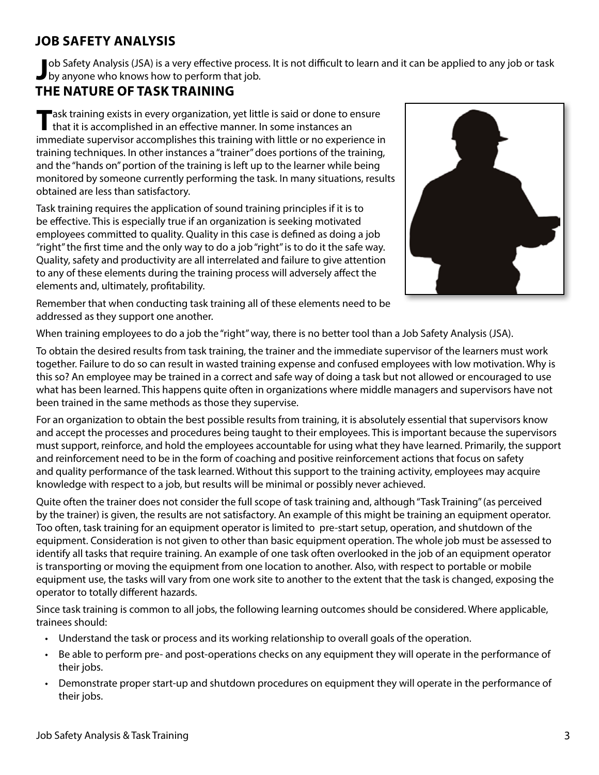#### <span id="page-2-0"></span>**JOB SAFETY ANALYSIS**

**J** ob Safety Analysis (JSA) is a very effective procestive procestive anyone who knows how to perform that job. ob Safety Analysis (JSA) is a very effective process. It is not difficult to learn and it can be applied to any job or task

#### **THE NATURE OF TASK TRAINING**

Task training exists in every organization, yet little is said or done to ensure<br>that it is accomplished in an effective manner. In some instances an immediate supervisor accomplishes this training with little or no experience in training techniques. In other instances a "trainer" does portions of the training, and the "hands on" portion of the training is left up to the learner while being monitored by someone currently performing the task. In many situations, results obtained are less than satisfactory.

Task training requires the application of sound training principles if it is to be effective. This is especially true if an organization is seeking motivated employees committed to quality. Quality in this case is defined as doing a job "right" the first time and the only way to do a job "right" is to do it the safe way. Quality, safety and productivity are all interrelated and failure to give attention to any of these elements during the training process will adversely affect the elements and, ultimately, profitability.



Remember that when conducting task training all of these elements need to be addressed as they support one another.

When training employees to do a job the "right" way, there is no better tool than a Job Safety Analysis (JSA).

To obtain the desired results from task training, the trainer and the immediate supervisor of the learners must work together. Failure to do so can result in wasted training expense and confused employees with low motivation. Why is this so? An employee may be trained in a correct and safe way of doing a task but not allowed or encouraged to use what has been learned. This happens quite often in organizations where middle managers and supervisors have not been trained in the same methods as those they supervise.

For an organization to obtain the best possible results from training, it is absolutely essential that supervisors know and accept the processes and procedures being taught to their employees. This is important because the supervisors must support, reinforce, and hold the employees accountable for using what they have learned. Primarily, the support and reinforcement need to be in the form of coaching and positive reinforcement actions that focus on safety and quality performance of the task learned. Without this support to the training activity, employees may acquire knowledge with respect to a job, but results will be minimal or possibly never achieved.

Quite often the trainer does not consider the full scope of task training and, although "Task Training" (as perceived by the trainer) is given, the results are not satisfactory. An example of this might be training an equipment operator. Too often, task training for an equipment operator is limited to pre-start setup, operation, and shutdown of the equipment. Consideration is not given to other than basic equipment operation. The whole job must be assessed to identify all tasks that require training. An example of one task often overlooked in the job of an equipment operator is transporting or moving the equipment from one location to another. Also, with respect to portable or mobile equipment use, the tasks will vary from one work site to another to the extent that the task is changed, exposing the operator to totally different hazards.

Since task training is common to all jobs, the following learning outcomes should be considered. Where applicable, trainees should:

- Understand the task or process and its working relationship to overall goals of the operation.
- Be able to perform pre- and post-operations checks on any equipment they will operate in the performance of their jobs.
- Demonstrate proper start-up and shutdown procedures on equipment they will operate in the performance of their jobs.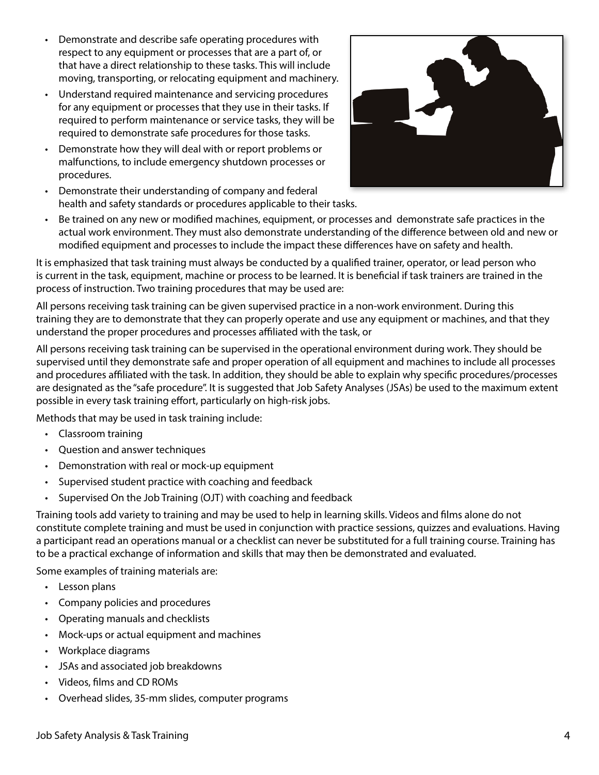- Demonstrate and describe safe operating procedures with respect to any equipment or processes that are a part of, or that have a direct relationship to these tasks. This will include moving, transporting, or relocating equipment and machinery.
- Understand required maintenance and servicing procedures for any equipment or processes that they use in their tasks. If required to perform maintenance or service tasks, they will be required to demonstrate safe procedures for those tasks.
- Demonstrate how they will deal with or report problems or malfunctions, to include emergency shutdown processes or procedures.



- Demonstrate their understanding of company and federal health and safety standards or procedures applicable to their tasks.
- Be trained on any new or modified machines, equipment, or processes and demonstrate safe practices in the actual work environment. They must also demonstrate understanding of the difference between old and new or modified equipment and processes to include the impact these differences have on safety and health.

It is emphasized that task training must always be conducted by a qualified trainer, operator, or lead person who is current in the task, equipment, machine or process to be learned. It is beneficial if task trainers are trained in the process of instruction. Two training procedures that may be used are:

All persons receiving task training can be given supervised practice in a non-work environment. During this training they are to demonstrate that they can properly operate and use any equipment or machines, and that they understand the proper procedures and processes affiliated with the task, or

All persons receiving task training can be supervised in the operational environment during work. They should be supervised until they demonstrate safe and proper operation of all equipment and machines to include all processes and procedures affiliated with the task. In addition, they should be able to explain why specific procedures/processes are designated as the "safe procedure". It is suggested that Job Safety Analyses (JSAs) be used to the maximum extent possible in every task training effort, particularly on high-risk jobs.

Methods that may be used in task training include:

- Classroom training
- Question and answer techniques
- Demonstration with real or mock-up equipment
- Supervised student practice with coaching and feedback
- Supervised On the Job Training (OJT) with coaching and feedback

Training tools add variety to training and may be used to help in learning skills. Videos and films alone do not constitute complete training and must be used in conjunction with practice sessions, quizzes and evaluations. Having a participant read an operations manual or a checklist can never be substituted for a full training course. Training has to be a practical exchange of information and skills that may then be demonstrated and evaluated.

Some examples of training materials are:

- Lesson plans
- Company policies and procedures
- Operating manuals and checklists
- Mock-ups or actual equipment and machines
- Workplace diagrams
- JSAs and associated job breakdowns
- Videos, films and CD ROMs
- Overhead slides, 35-mm slides, computer programs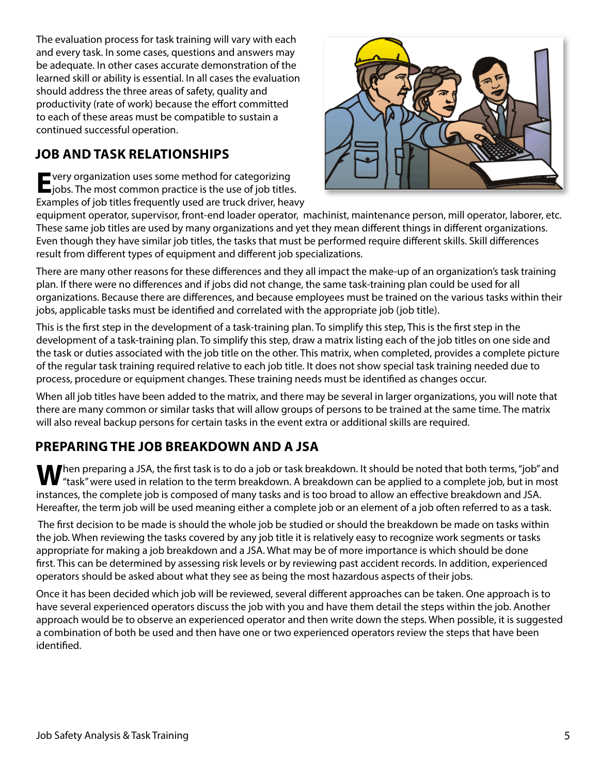<span id="page-4-0"></span>The evaluation process for task training will vary with each and every task. In some cases, questions and answers may be adequate. In other cases accurate demonstration of the learned skill or ability is essential. In all cases the evaluation should address the three areas of safety, quality and productivity (rate of work) because the effort committed to each of these areas must be compatible to sustain a continued successful operation.

#### **JOB AND TASK RELATIONSHIPS**

**E** very organization uses some method for categorizing jobs. The most common practice is the use of job titles. Examples of job titles frequently used are truck driver, heavy



equipment operator, supervisor, front-end loader operator, machinist, maintenance person, mill operator, laborer, etc. These same job titles are used by many organizations and yet they mean different things in different organizations. Even though they have similar job titles, the tasks that must be performed require different skills. Skill differences result from different types of equipment and different job specializations.

There are many other reasons for these differences and they all impact the make-up of an organization's task training plan. If there were no differences and if jobs did not change, the same task-training plan could be used for all organizations. Because there are differences, and because employees must be trained on the various tasks within their jobs, applicable tasks must be identified and correlated with the appropriate job (job title).

This is the first step in the development of a task-training plan. To simplify this step, This is the first step in the development of a task-training plan. To simplify this step, draw a matrix listing each of the job titles on one side and the task or duties associated with the job title on the other. This matrix, when completed, provides a complete picture of the regular task training required relative to each job title. It does not show special task training needed due to process, procedure or equipment changes. These training needs must be identified as changes occur.

When all job titles have been added to the matrix, and there may be several in larger organizations, you will note that there are many common or similar tasks that will allow groups of persons to be trained at the same time. The matrix will also reveal backup persons for certain tasks in the event extra or additional skills are required.

### **PREPARING THE JOB BREAKDOWN AND A JSA**

**When preparing a JSA, the first task is to do a job or task breakdown. It should be noted that both terms, "job" and** <sup>"</sup> "task" were used in relation to the term breakdown. A breakdown can be applied to a complete job, but in most instances, the complete job is composed of many tasks and is too broad to allow an effective breakdown and JSA. Hereafter, the term job will be used meaning either a complete job or an element of a job often referred to as a task.

 The first decision to be made is should the whole job be studied or should the breakdown be made on tasks within the job. When reviewing the tasks covered by any job title it is relatively easy to recognize work segments or tasks appropriate for making a job breakdown and a JSA. What may be of more importance is which should be done first. This can be determined by assessing risk levels or by reviewing past accident records. In addition, experienced operators should be asked about what they see as being the most hazardous aspects of their jobs.

Once it has been decided which job will be reviewed, several different approaches can be taken. One approach is to have several experienced operators discuss the job with you and have them detail the steps within the job. Another approach would be to observe an experienced operator and then write down the steps. When possible, it is suggested a combination of both be used and then have one or two experienced operators review the steps that have been identified.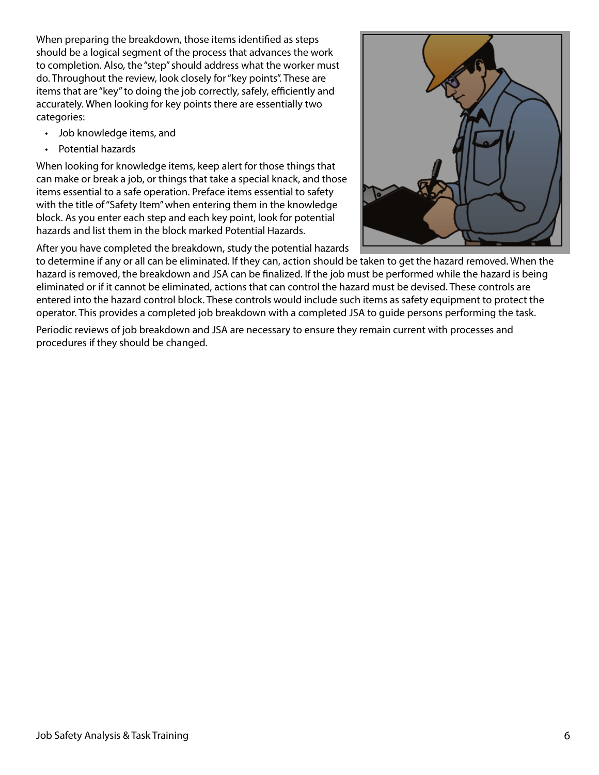When preparing the breakdown, those items identified as steps should be a logical segment of the process that advances the work to completion. Also, the "step" should address what the worker must do. Throughout the review, look closely for "key points". These are items that are "key" to doing the job correctly, safely, efficiently and accurately. When looking for key points there are essentially two categories:

- Job knowledge items, and
- Potential hazards

When looking for knowledge items, keep alert for those things that can make or break a job, or things that take a special knack, and those items essential to a safe operation. Preface items essential to safety with the title of "Safety Item" when entering them in the knowledge block. As you enter each step and each key point, look for potential hazards and list them in the block marked Potential Hazards.

After you have completed the breakdown, study the potential hazards



to determine if any or all can be eliminated. If they can, action should be taken to get the hazard removed. When the hazard is removed, the breakdown and JSA can be finalized. If the job must be performed while the hazard is being eliminated or if it cannot be eliminated, actions that can control the hazard must be devised. These controls are entered into the hazard control block. These controls would include such items as safety equipment to protect the operator. This provides a completed job breakdown with a completed JSA to guide persons performing the task.

Periodic reviews of job breakdown and JSA are necessary to ensure they remain current with processes and procedures if they should be changed.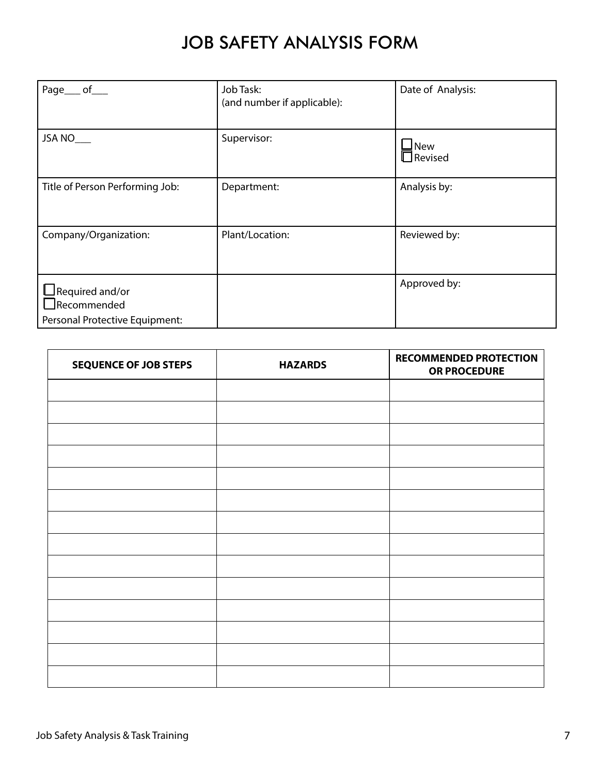## JOB SAFETY ANALYSIS FORM

<span id="page-6-0"></span>

| Page___ of___                                                                  | Job Task:<br>(and number if applicable): | Date of Analysis:                              |
|--------------------------------------------------------------------------------|------------------------------------------|------------------------------------------------|
| JSA NO                                                                         | Supervisor:                              | $\mathbin{\blacksquare}$ New<br>$\Box$ Revised |
| Title of Person Performing Job:                                                | Department:                              | Analysis by:                                   |
| Company/Organization:                                                          | Plant/Location:                          | Reviewed by:                                   |
| $\Box$ Required and/or<br>$\Box$ Recommended<br>Personal Protective Equipment: |                                          | Approved by:                                   |

| <b>SEQUENCE OF JOB STEPS</b> | <b>HAZARDS</b> | <b>RECOMMENDED PROTECTION</b><br>OR PROCEDURE |
|------------------------------|----------------|-----------------------------------------------|
|                              |                |                                               |
|                              |                |                                               |
|                              |                |                                               |
|                              |                |                                               |
|                              |                |                                               |
|                              |                |                                               |
|                              |                |                                               |
|                              |                |                                               |
|                              |                |                                               |
|                              |                |                                               |
|                              |                |                                               |
|                              |                |                                               |
|                              |                |                                               |
|                              |                |                                               |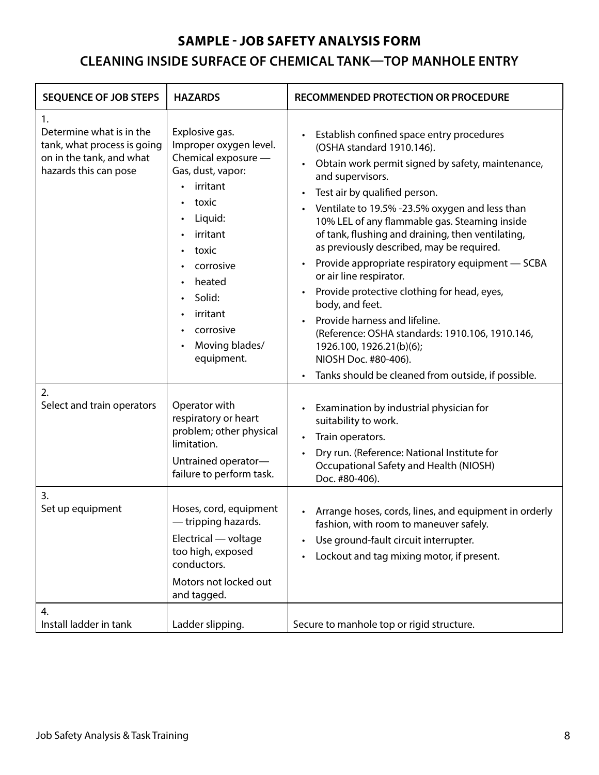#### **SAMPLE - JOB SAFETY ANALYSIS FORM**

### **CLEANING INSIDE SURFACE OF CHEMICAL TANK—TOP MANHOLE ENTRY**

<span id="page-7-0"></span>

| <b>SEQUENCE OF JOB STEPS</b>                                                                                       | <b>HAZARDS</b>                                                                                                                                                                                                                      | RECOMMENDED PROTECTION OR PROCEDURE                                                                                                                                                                                                                                                                                                                                                                                                                                                                                                                                                                                                                                                                                                  |
|--------------------------------------------------------------------------------------------------------------------|-------------------------------------------------------------------------------------------------------------------------------------------------------------------------------------------------------------------------------------|--------------------------------------------------------------------------------------------------------------------------------------------------------------------------------------------------------------------------------------------------------------------------------------------------------------------------------------------------------------------------------------------------------------------------------------------------------------------------------------------------------------------------------------------------------------------------------------------------------------------------------------------------------------------------------------------------------------------------------------|
| 1.<br>Determine what is in the<br>tank, what process is going<br>on in the tank, and what<br>hazards this can pose | Explosive gas.<br>Improper oxygen level.<br>Chemical exposure -<br>Gas, dust, vapor:<br>irritant<br>toxic<br>Liquid:<br>irritant<br>toxic<br>corrosive<br>heated<br>Solid:<br>irritant<br>corrosive<br>Moving blades/<br>equipment. | Establish confined space entry procedures<br>(OSHA standard 1910.146).<br>Obtain work permit signed by safety, maintenance,<br>and supervisors.<br>Test air by qualified person.<br>Ventilate to 19.5% -23.5% oxygen and less than<br>10% LEL of any flammable gas. Steaming inside<br>of tank, flushing and draining, then ventilating,<br>as previously described, may be required.<br>Provide appropriate respiratory equipment - SCBA<br>or air line respirator.<br>Provide protective clothing for head, eyes,<br>body, and feet.<br>Provide harness and lifeline.<br>(Reference: OSHA standards: 1910.106, 1910.146,<br>1926.100, 1926.21(b)(6);<br>NIOSH Doc. #80-406).<br>Tanks should be cleaned from outside, if possible. |
| 2.<br>Select and train operators                                                                                   | Operator with<br>respiratory or heart<br>problem; other physical<br>limitation.<br>Untrained operator-<br>failure to perform task.                                                                                                  | Examination by industrial physician for<br>suitability to work.<br>Train operators.<br>Dry run. (Reference: National Institute for<br>Occupational Safety and Health (NIOSH)<br>Doc. #80-406).                                                                                                                                                                                                                                                                                                                                                                                                                                                                                                                                       |
| 3.<br>Set up equipment                                                                                             | Hoses, cord, equipment<br>- tripping hazards.<br>Electrical - voltage<br>too high, exposed<br>conductors.<br>Motors not locked out<br>and tagged.                                                                                   | Arrange hoses, cords, lines, and equipment in orderly<br>fashion, with room to maneuver safely.<br>Use ground-fault circuit interrupter.<br>Lockout and tag mixing motor, if present.                                                                                                                                                                                                                                                                                                                                                                                                                                                                                                                                                |
| 4.<br>Install ladder in tank                                                                                       | Ladder slipping.                                                                                                                                                                                                                    | Secure to manhole top or rigid structure.                                                                                                                                                                                                                                                                                                                                                                                                                                                                                                                                                                                                                                                                                            |